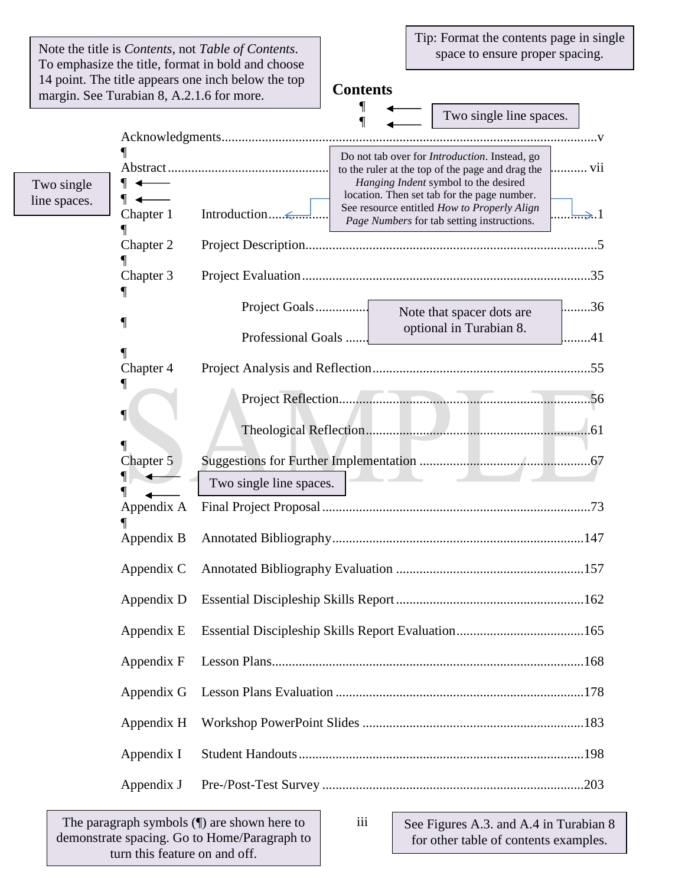| Note the title is <i>Contents</i> , not <i>Table of Contents</i> .<br>To emphasize the title, format in bold and choose |                         |                 | Tip: Format the contents page in single<br>space to ensure proper spacing.                                                         |  |
|-------------------------------------------------------------------------------------------------------------------------|-------------------------|-----------------|------------------------------------------------------------------------------------------------------------------------------------|--|
| 14 point. The title appears one inch below the top<br>margin. See Turabian 8, A.2.1.6 for more.                         |                         | <b>Contents</b> |                                                                                                                                    |  |
|                                                                                                                         |                         |                 | Two single line spaces.                                                                                                            |  |
|                                                                                                                         |                         |                 | Do not tab over for <i>Introduction</i> . Instead, go                                                                              |  |
|                                                                                                                         |                         |                 | vii<br>to the ruler at the top of the page and drag the                                                                            |  |
| Two single<br>line spaces.                                                                                              |                         |                 | Hanging Indent symbol to the desired<br>location. Then set tab for the page number.                                                |  |
| Chapter 1                                                                                                               |                         |                 | See resource entitled How to Properly Align<br>$\overline{\phantom{a}}\rightarrow 1$<br>Page Numbers for tab setting instructions. |  |
| Chapter 2                                                                                                               |                         |                 |                                                                                                                                    |  |
| Chapter 3                                                                                                               |                         |                 |                                                                                                                                    |  |
|                                                                                                                         | Project Goals           |                 | 36<br>Note that spacer dots are                                                                                                    |  |
|                                                                                                                         | Professional Goals      |                 | optional in Turabian 8.<br>41                                                                                                      |  |
| Chapter 4                                                                                                               |                         |                 |                                                                                                                                    |  |
|                                                                                                                         |                         |                 |                                                                                                                                    |  |
| 1                                                                                                                       |                         |                 |                                                                                                                                    |  |
| Chapter 5                                                                                                               |                         |                 |                                                                                                                                    |  |
|                                                                                                                         | Two single line spaces. |                 |                                                                                                                                    |  |
| Appendix A                                                                                                              |                         |                 |                                                                                                                                    |  |
| Appendix B                                                                                                              |                         |                 |                                                                                                                                    |  |
| Appendix C                                                                                                              |                         |                 |                                                                                                                                    |  |
| Appendix D                                                                                                              |                         |                 |                                                                                                                                    |  |
| Appendix E                                                                                                              |                         |                 |                                                                                                                                    |  |
| Appendix F                                                                                                              |                         |                 |                                                                                                                                    |  |
| Appendix G                                                                                                              |                         |                 |                                                                                                                                    |  |
| Appendix H                                                                                                              |                         |                 |                                                                                                                                    |  |
| Appendix I                                                                                                              |                         |                 |                                                                                                                                    |  |
| Appendix J                                                                                                              |                         |                 |                                                                                                                                    |  |

The paragraph symbols (¶) are shown here to demonstrate spacing. Go to Home/Paragraph to turn this feature on and off.

iii

See Figures A.3. and A.4 in Turabian 8 for other table of contents examples.